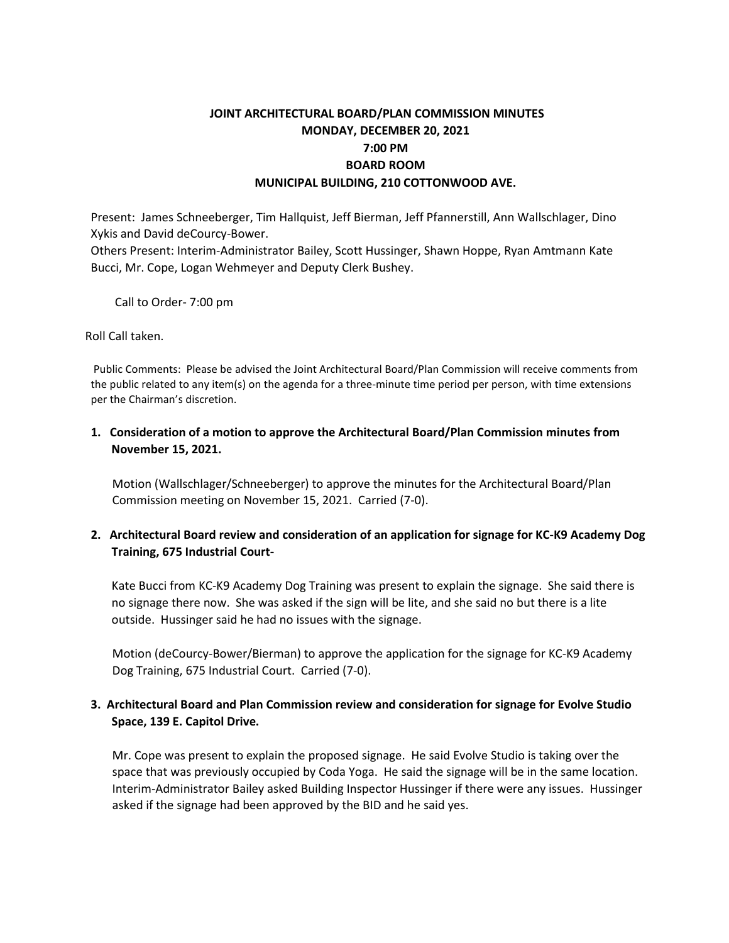# **JOINT ARCHITECTURAL BOARD/PLAN COMMISSION MINUTES MONDAY, DECEMBER 20, 2021 7:00 PM BOARD ROOM MUNICIPAL BUILDING, 210 COTTONWOOD AVE.**

Present: James Schneeberger, Tim Hallquist, Jeff Bierman, Jeff Pfannerstill, Ann Wallschlager, Dino Xykis and David deCourcy-Bower.

Others Present: Interim-Administrator Bailey, Scott Hussinger, Shawn Hoppe, Ryan Amtmann Kate Bucci, Mr. Cope, Logan Wehmeyer and Deputy Clerk Bushey.

Call to Order- 7:00 pm

Roll Call taken.

Public Comments: Please be advised the Joint Architectural Board/Plan Commission will receive comments from the public related to any item(s) on the agenda for a three-minute time period per person, with time extensions per the Chairman's discretion.

## **1. Consideration of a motion to approve the Architectural Board/Plan Commission minutes from November 15, 2021.**

Motion (Wallschlager/Schneeberger) to approve the minutes for the Architectural Board/Plan Commission meeting on November 15, 2021. Carried (7-0).

## **2. Architectural Board review and consideration of an application for signage for KC-K9 Academy Dog Training, 675 Industrial Court-**

Kate Bucci from KC-K9 Academy Dog Training was present to explain the signage. She said there is no signage there now. She was asked if the sign will be lite, and she said no but there is a lite outside. Hussinger said he had no issues with the signage.

Motion (deCourcy-Bower/Bierman) to approve the application for the signage for KC-K9 Academy Dog Training, 675 Industrial Court. Carried (7-0).

## **3. Architectural Board and Plan Commission review and consideration for signage for Evolve Studio Space, 139 E. Capitol Drive.**

Mr. Cope was present to explain the proposed signage. He said Evolve Studio is taking over the space that was previously occupied by Coda Yoga. He said the signage will be in the same location. Interim-Administrator Bailey asked Building Inspector Hussinger if there were any issues. Hussinger asked if the signage had been approved by the BID and he said yes.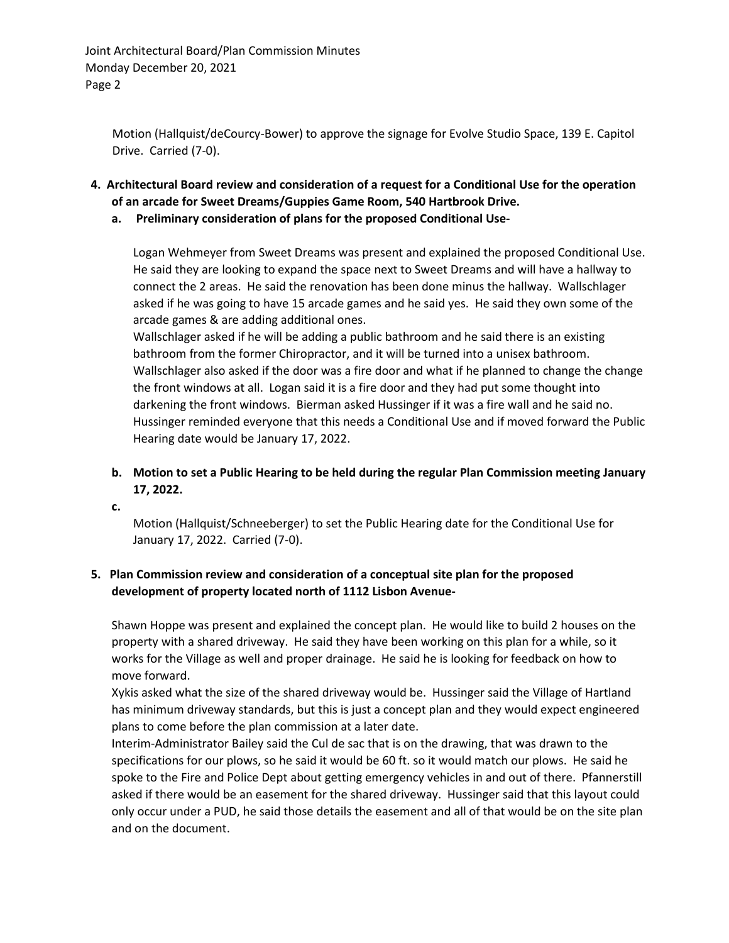Joint Architectural Board/Plan Commission Minutes Monday December 20, 2021 Page 2

Motion (Hallquist/deCourcy-Bower) to approve the signage for Evolve Studio Space, 139 E. Capitol Drive. Carried (7-0).

- **4. Architectural Board review and consideration of a request for a Conditional Use for the operation of an arcade for Sweet Dreams/Guppies Game Room, 540 Hartbrook Drive.**
	- **a. Preliminary consideration of plans for the proposed Conditional Use-**

Logan Wehmeyer from Sweet Dreams was present and explained the proposed Conditional Use. He said they are looking to expand the space next to Sweet Dreams and will have a hallway to connect the 2 areas. He said the renovation has been done minus the hallway. Wallschlager asked if he was going to have 15 arcade games and he said yes. He said they own some of the arcade games & are adding additional ones.

Wallschlager asked if he will be adding a public bathroom and he said there is an existing bathroom from the former Chiropractor, and it will be turned into a unisex bathroom. Wallschlager also asked if the door was a fire door and what if he planned to change the change the front windows at all. Logan said it is a fire door and they had put some thought into darkening the front windows. Bierman asked Hussinger if it was a fire wall and he said no. Hussinger reminded everyone that this needs a Conditional Use and if moved forward the Public Hearing date would be January 17, 2022.

# **b. Motion to set a Public Hearing to be held during the regular Plan Commission meeting January 17, 2022.**

**c.**

Motion (Hallquist/Schneeberger) to set the Public Hearing date for the Conditional Use for January 17, 2022. Carried (7-0).

## **5. Plan Commission review and consideration of a conceptual site plan for the proposed development of property located north of 1112 Lisbon Avenue-**

Shawn Hoppe was present and explained the concept plan. He would like to build 2 houses on the property with a shared driveway. He said they have been working on this plan for a while, so it works for the Village as well and proper drainage. He said he is looking for feedback on how to move forward.

Xykis asked what the size of the shared driveway would be. Hussinger said the Village of Hartland has minimum driveway standards, but this is just a concept plan and they would expect engineered plans to come before the plan commission at a later date.

Interim-Administrator Bailey said the Cul de sac that is on the drawing, that was drawn to the specifications for our plows, so he said it would be 60 ft. so it would match our plows. He said he spoke to the Fire and Police Dept about getting emergency vehicles in and out of there. Pfannerstill asked if there would be an easement for the shared driveway. Hussinger said that this layout could only occur under a PUD, he said those details the easement and all of that would be on the site plan and on the document.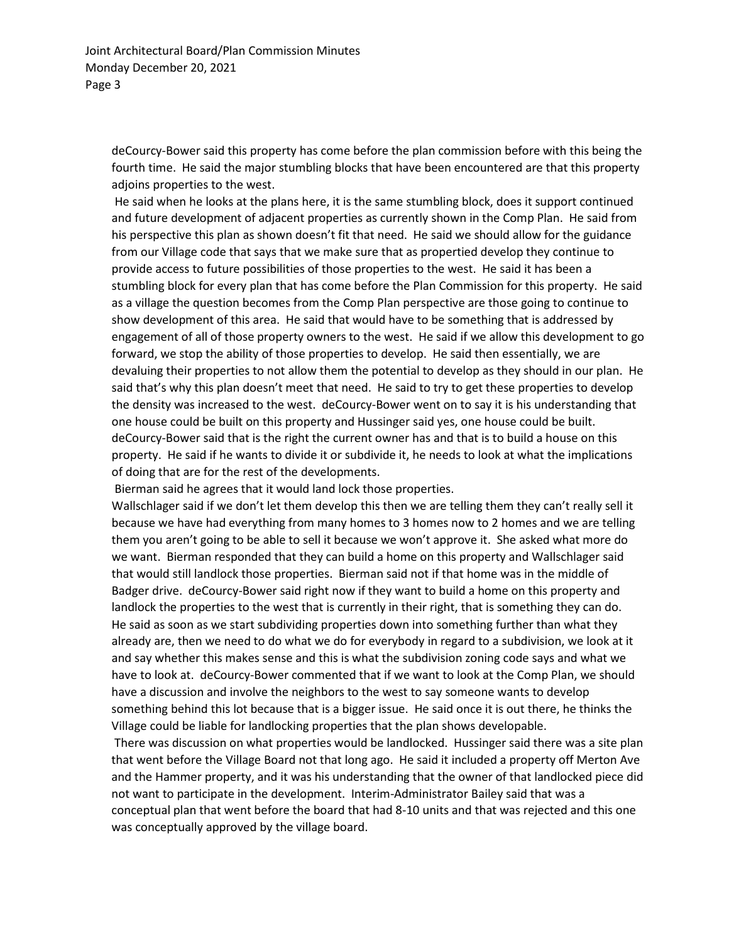deCourcy-Bower said this property has come before the plan commission before with this being the fourth time. He said the major stumbling blocks that have been encountered are that this property adjoins properties to the west.

He said when he looks at the plans here, it is the same stumbling block, does it support continued and future development of adjacent properties as currently shown in the Comp Plan. He said from his perspective this plan as shown doesn't fit that need. He said we should allow for the guidance from our Village code that says that we make sure that as propertied develop they continue to provide access to future possibilities of those properties to the west. He said it has been a stumbling block for every plan that has come before the Plan Commission for this property. He said as a village the question becomes from the Comp Plan perspective are those going to continue to show development of this area. He said that would have to be something that is addressed by engagement of all of those property owners to the west. He said if we allow this development to go forward, we stop the ability of those properties to develop. He said then essentially, we are devaluing their properties to not allow them the potential to develop as they should in our plan. He said that's why this plan doesn't meet that need. He said to try to get these properties to develop the density was increased to the west. deCourcy-Bower went on to say it is his understanding that one house could be built on this property and Hussinger said yes, one house could be built. deCourcy-Bower said that is the right the current owner has and that is to build a house on this property. He said if he wants to divide it or subdivide it, he needs to look at what the implications of doing that are for the rest of the developments.

Bierman said he agrees that it would land lock those properties.

Wallschlager said if we don't let them develop this then we are telling them they can't really sell it because we have had everything from many homes to 3 homes now to 2 homes and we are telling them you aren't going to be able to sell it because we won't approve it. She asked what more do we want. Bierman responded that they can build a home on this property and Wallschlager said that would still landlock those properties. Bierman said not if that home was in the middle of Badger drive. deCourcy-Bower said right now if they want to build a home on this property and landlock the properties to the west that is currently in their right, that is something they can do. He said as soon as we start subdividing properties down into something further than what they already are, then we need to do what we do for everybody in regard to a subdivision, we look at it and say whether this makes sense and this is what the subdivision zoning code says and what we have to look at. deCourcy-Bower commented that if we want to look at the Comp Plan, we should have a discussion and involve the neighbors to the west to say someone wants to develop something behind this lot because that is a bigger issue. He said once it is out there, he thinks the Village could be liable for landlocking properties that the plan shows developable.

There was discussion on what properties would be landlocked. Hussinger said there was a site plan that went before the Village Board not that long ago. He said it included a property off Merton Ave and the Hammer property, and it was his understanding that the owner of that landlocked piece did not want to participate in the development. Interim-Administrator Bailey said that was a conceptual plan that went before the board that had 8-10 units and that was rejected and this one was conceptually approved by the village board.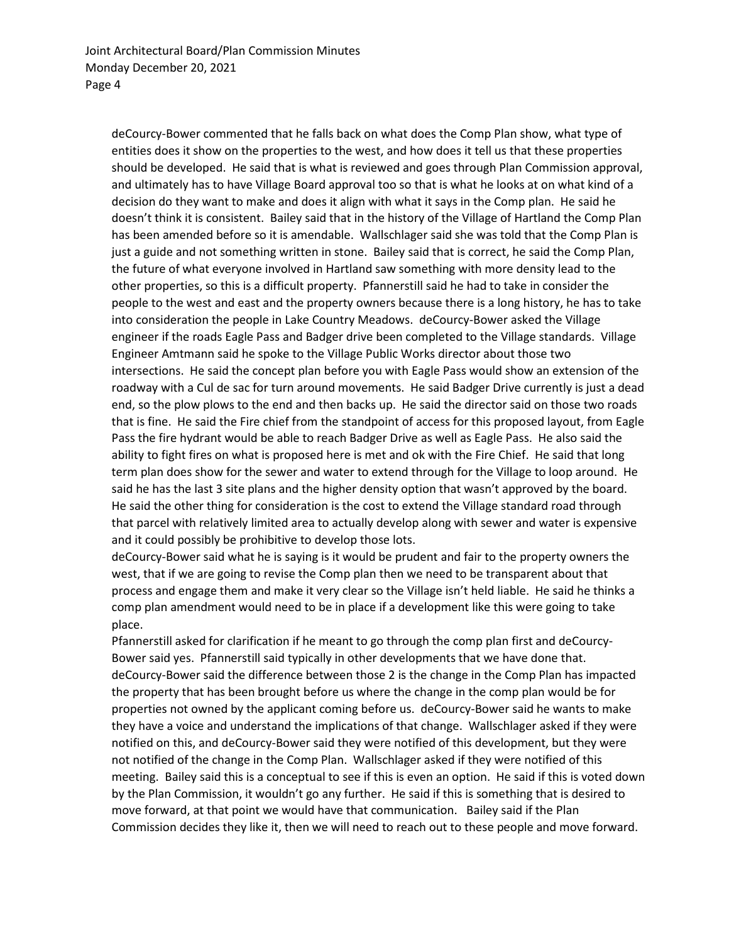deCourcy-Bower commented that he falls back on what does the Comp Plan show, what type of entities does it show on the properties to the west, and how does it tell us that these properties should be developed. He said that is what is reviewed and goes through Plan Commission approval, and ultimately has to have Village Board approval too so that is what he looks at on what kind of a decision do they want to make and does it align with what it says in the Comp plan. He said he doesn't think it is consistent. Bailey said that in the history of the Village of Hartland the Comp Plan has been amended before so it is amendable. Wallschlager said she was told that the Comp Plan is just a guide and not something written in stone. Bailey said that is correct, he said the Comp Plan, the future of what everyone involved in Hartland saw something with more density lead to the other properties, so this is a difficult property. Pfannerstill said he had to take in consider the people to the west and east and the property owners because there is a long history, he has to take into consideration the people in Lake Country Meadows. deCourcy-Bower asked the Village engineer if the roads Eagle Pass and Badger drive been completed to the Village standards. Village Engineer Amtmann said he spoke to the Village Public Works director about those two intersections. He said the concept plan before you with Eagle Pass would show an extension of the roadway with a Cul de sac for turn around movements. He said Badger Drive currently is just a dead end, so the plow plows to the end and then backs up. He said the director said on those two roads that is fine. He said the Fire chief from the standpoint of access for this proposed layout, from Eagle Pass the fire hydrant would be able to reach Badger Drive as well as Eagle Pass. He also said the ability to fight fires on what is proposed here is met and ok with the Fire Chief. He said that long term plan does show for the sewer and water to extend through for the Village to loop around. He said he has the last 3 site plans and the higher density option that wasn't approved by the board. He said the other thing for consideration is the cost to extend the Village standard road through that parcel with relatively limited area to actually develop along with sewer and water is expensive and it could possibly be prohibitive to develop those lots.

deCourcy-Bower said what he is saying is it would be prudent and fair to the property owners the west, that if we are going to revise the Comp plan then we need to be transparent about that process and engage them and make it very clear so the Village isn't held liable. He said he thinks a comp plan amendment would need to be in place if a development like this were going to take place.

Pfannerstill asked for clarification if he meant to go through the comp plan first and deCourcy-Bower said yes. Pfannerstill said typically in other developments that we have done that. deCourcy-Bower said the difference between those 2 is the change in the Comp Plan has impacted the property that has been brought before us where the change in the comp plan would be for properties not owned by the applicant coming before us. deCourcy-Bower said he wants to make they have a voice and understand the implications of that change. Wallschlager asked if they were notified on this, and deCourcy-Bower said they were notified of this development, but they were not notified of the change in the Comp Plan. Wallschlager asked if they were notified of this meeting. Bailey said this is a conceptual to see if this is even an option. He said if this is voted down by the Plan Commission, it wouldn't go any further. He said if this is something that is desired to move forward, at that point we would have that communication. Bailey said if the Plan Commission decides they like it, then we will need to reach out to these people and move forward.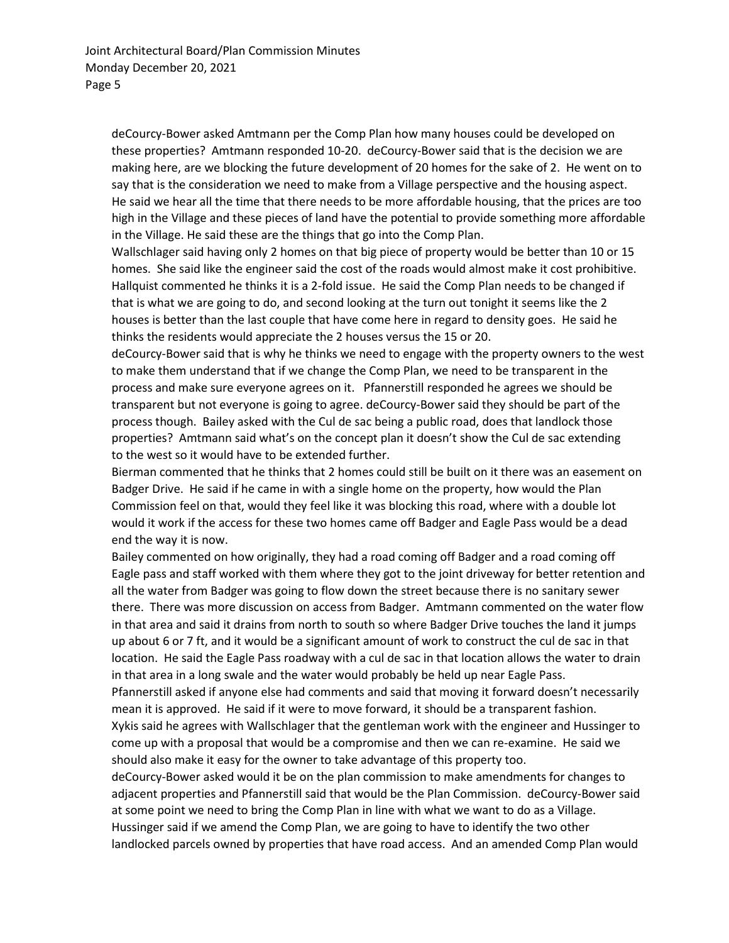deCourcy-Bower asked Amtmann per the Comp Plan how many houses could be developed on these properties? Amtmann responded 10-20. deCourcy-Bower said that is the decision we are making here, are we blocking the future development of 20 homes for the sake of 2. He went on to say that is the consideration we need to make from a Village perspective and the housing aspect. He said we hear all the time that there needs to be more affordable housing, that the prices are too high in the Village and these pieces of land have the potential to provide something more affordable in the Village. He said these are the things that go into the Comp Plan.

Wallschlager said having only 2 homes on that big piece of property would be better than 10 or 15 homes. She said like the engineer said the cost of the roads would almost make it cost prohibitive. Hallquist commented he thinks it is a 2-fold issue. He said the Comp Plan needs to be changed if that is what we are going to do, and second looking at the turn out tonight it seems like the 2 houses is better than the last couple that have come here in regard to density goes. He said he thinks the residents would appreciate the 2 houses versus the 15 or 20.

deCourcy-Bower said that is why he thinks we need to engage with the property owners to the west to make them understand that if we change the Comp Plan, we need to be transparent in the process and make sure everyone agrees on it. Pfannerstill responded he agrees we should be transparent but not everyone is going to agree. deCourcy-Bower said they should be part of the process though. Bailey asked with the Cul de sac being a public road, does that landlock those properties? Amtmann said what's on the concept plan it doesn't show the Cul de sac extending to the west so it would have to be extended further.

Bierman commented that he thinks that 2 homes could still be built on it there was an easement on Badger Drive. He said if he came in with a single home on the property, how would the Plan Commission feel on that, would they feel like it was blocking this road, where with a double lot would it work if the access for these two homes came off Badger and Eagle Pass would be a dead end the way it is now.

Bailey commented on how originally, they had a road coming off Badger and a road coming off Eagle pass and staff worked with them where they got to the joint driveway for better retention and all the water from Badger was going to flow down the street because there is no sanitary sewer there. There was more discussion on access from Badger. Amtmann commented on the water flow in that area and said it drains from north to south so where Badger Drive touches the land it jumps up about 6 or 7 ft, and it would be a significant amount of work to construct the cul de sac in that location. He said the Eagle Pass roadway with a cul de sac in that location allows the water to drain in that area in a long swale and the water would probably be held up near Eagle Pass.

Pfannerstill asked if anyone else had comments and said that moving it forward doesn't necessarily mean it is approved. He said if it were to move forward, it should be a transparent fashion.

Xykis said he agrees with Wallschlager that the gentleman work with the engineer and Hussinger to come up with a proposal that would be a compromise and then we can re-examine. He said we should also make it easy for the owner to take advantage of this property too.

deCourcy-Bower asked would it be on the plan commission to make amendments for changes to adjacent properties and Pfannerstill said that would be the Plan Commission. deCourcy-Bower said at some point we need to bring the Comp Plan in line with what we want to do as a Village. Hussinger said if we amend the Comp Plan, we are going to have to identify the two other landlocked parcels owned by properties that have road access. And an amended Comp Plan would